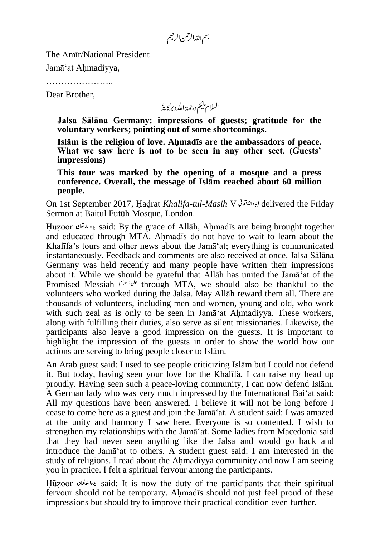بسم الله الرحمٰن الرحيم

The Amīr/National President

Jamā'at Ahmadiyya,

…………………..

Dear Brother,

السلام عليم ورحمة الله وبركايةُ

**Jalsa Sālāna Germany: impressions of guests; gratitude for the voluntary workers; pointing out of some shortcomings.**

**Islām is the religion of love. Ahmadīs are the ambassadors of peace. What we saw here is not to be seen in any other sect. (Guests' impressions)**

**This tour was marked by the opening of a mosque and a press conference. Overall, the message of Islām reached about 60 million people.**

On 1st September 2017, Hadrat *Khalifa-tul-Masih* V delivered the Friday Sermon at Baitul Futūh Mosque, London.

Huzoor said: By the grace of Allāh, Ahmadīs are being brought together and educated through MTA. Ahmadīs do not have to wait to learn about the Khalīfa's tours and other news about the Jamā'at; everything is communicated instantaneously. Feedback and comments are also received at once. Jalsa Sālāna Germany was held recently and many people have written their impressions about it. While we should be grateful that Allāh has united the Jamā'at of the Promised Messiah through MTA, we should also be thankful to the volunteers who worked during the Jalsa. May Allāh reward them all. There are thousands of volunteers, including men and women, young and old, who work with such zeal as is only to be seen in Jamā'at Ahmadiyya. These workers, along with fulfilling their duties, also serve as silent missionaries. Likewise, the participants also leave a good impression on the guests. It is important to highlight the impression of the guests in order to show the world how our actions are serving to bring people closer to Islām.

An Arab guest said: I used to see people criticizing Islām but I could not defend it. But today, having seen your love for the Khalīfa, I can raise my head up proudly. Having seen such a peace-loving community, I can now defend Islām. A German lady who was very much impressed by the International Bai'at said: All my questions have been answered. I believe it will not be long before I cease to come here as a guest and join the Jamā'at. A student said: I was amazed at the unity and harmony I saw here. Everyone is so contented. I wish to strengthen my relationships with the Jamā'at. Some ladies from Macedonia said that they had never seen anything like the Jalsa and would go back and introduce the Jamā'at to others. A student guest said: I am interested in the study of religions. I read about the Ahmadiyya community and now I am seeing you in practice. I felt a spiritual fervour among the participants.

Hūzoor ايده الله تقعاتي said: It is now the duty of the participants that their spiritual fervour should not be temporary. Ahmadīs should not just feel proud of these impressions but should try to improve their practical condition even further.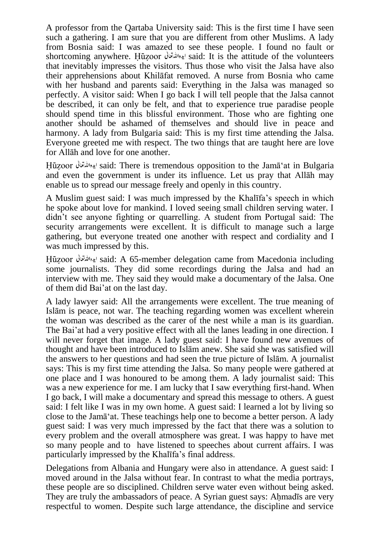A professor from the Qartaba University said: This is the first time I have seen such a gathering. I am sure that you are different from other Muslims. A lady from Bosnia said: I was amazed to see these people. I found no fault or shortcoming anywhere. Huzoor الإدالله قطل said: It is the attitude of the volunteers that inevitably impresses the visitors. Thus those who visit the Jalsa have also their apprehensions about Khilāfat removed. A nurse from Bosnia who came with her husband and parents said: Everything in the Jalsa was managed so perfectly. A visitor said: When I go back I will tell people that the Jalsa cannot be described, it can only be felt, and that to experience true paradise people should spend time in this blissful environment. Those who are fighting one another should be ashamed of themselves and should live in peace and harmony. A lady from Bulgaria said: This is my first time attending the Jalsa. Everyone greeted me with respect. The two things that are taught here are love for Allāh and love for one another.

Huzoor said: There is tremendous opposition to the Jamā'at in Bulgaria and even the government is under its influence. Let us pray that Allāh may enable us to spread our message freely and openly in this country.

A Muslim guest said: I was much impressed by the Khalīfa's speech in which he spoke about love for mankind. I loved seeing small children serving water. I didn't see anyone fighting or quarrelling. A student from Portugal said: The security arrangements were excellent. It is difficult to manage such a large gathering, but everyone treated one another with respect and cordiality and I was much impressed by this.

Huzoor said: A 65-member delegation came from Macedonia including some journalists. They did some recordings during the Jalsa and had an interview with me. They said they would make a documentary of the Jalsa. One of them did Bai'at on the last day.

A lady lawyer said: All the arrangements were excellent. The true meaning of Islām is peace, not war. The teaching regarding women was excellent wherein the woman was described as the carer of the nest while a man is its guardian. The Bai'at had a very positive effect with all the lanes leading in one direction. I will never forget that image. A lady guest said: I have found new avenues of thought and have been introduced to Islām anew. She said she was satisfied will the answers to her questions and had seen the true picture of Islām. A journalist says: This is my first time attending the Jalsa. So many people were gathered at one place and I was honoured to be among them. A lady journalist said: This was a new experience for me. I am lucky that I saw everything first-hand. When I go back, I will make a documentary and spread this message to others. A guest said: I felt like I was in my own home. A guest said: I learned a lot by living so close to the Jamā'at. These teachings help one to become a better person. A lady guest said: I was very much impressed by the fact that there was a solution to every problem and the overall atmosphere was great. I was happy to have met so many people and to have listened to speeches about current affairs. I was particularly impressed by the Khalīfa's final address.

Delegations from Albania and Hungary were also in attendance. A guest said: I moved around in the Jalsa without fear. In contrast to what the media portrays, these people are so disciplined. Children serve water even without being asked. They are truly the ambassadors of peace. A Syrian guest says: Ahmadīs are very respectful to women. Despite such large attendance, the discipline and service